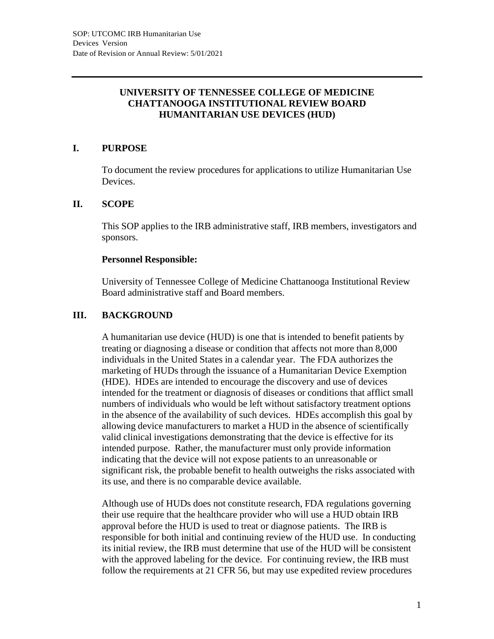## **UNIVERSITY OF TENNESSEE COLLEGE OF MEDICINE CHATTANOOGA INSTITUTIONAL REVIEW BOARD HUMANITARIAN USE DEVICES (HUD)**

## **I. PURPOSE**

To document the review procedures for applications to utilize Humanitarian Use Devices.

## **II. SCOPE**

This SOP applies to the IRB administrative staff, IRB members, investigators and sponsors.

## **Personnel Responsible:**

University of Tennessee College of Medicine Chattanooga Institutional Review Board administrative staff and Board members.

# **III. BACKGROUND**

A humanitarian use device (HUD) is one that is intended to benefit patients by treating or diagnosing a disease or condition that affects not more than 8,000 individuals in the United States in a calendar year. The FDA authorizes the marketing of HUDs through the issuance of a Humanitarian Device Exemption (HDE). HDEs are intended to encourage the discovery and use of devices intended for the treatment or diagnosis of diseases or conditions that afflict small numbers of individuals who would be left without satisfactory treatment options in the absence of the availability of such devices. HDEs accomplish this goal by allowing device manufacturers to market a HUD in the absence of scientifically valid clinical investigations demonstrating that the device is effective for its intended purpose. Rather, the manufacturer must only provide information indicating that the device will not expose patients to an unreasonable or significant risk, the probable benefit to health outweighs the risks associated with its use, and there is no comparable device available.

Although use of HUDs does not constitute research, FDA regulations governing their use require that the healthcare provider who will use a HUD obtain IRB approval before the HUD is used to treat or diagnose patients. The IRB is responsible for both initial and continuing review of the HUD use. In conducting its initial review, the IRB must determine that use of the HUD will be consistent with the approved labeling for the device. For continuing review, the IRB must follow the requirements at 21 CFR 56, but may use expedited review procedures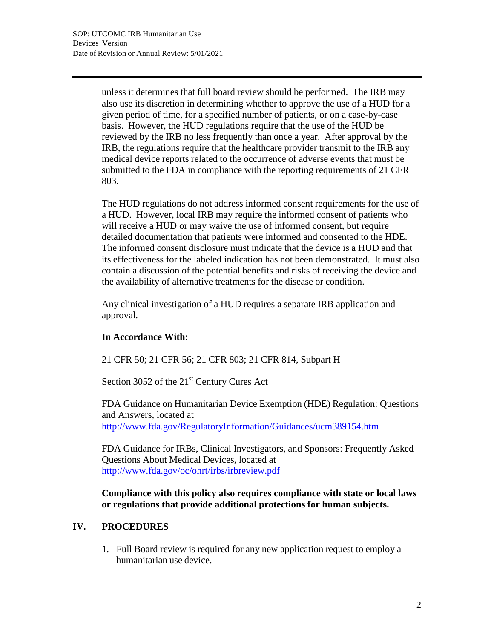unless it determines that full board review should be performed. The IRB may also use its discretion in determining whether to approve the use of a HUD for a given period of time, for a specified number of patients, or on a case-by-case basis. However, the HUD regulations require that the use of the HUD be reviewed by the IRB no less frequently than once a year. After approval by the IRB, the regulations require that the healthcare provider transmit to the IRB any medical device reports related to the occurrence of adverse events that must be submitted to the FDA in compliance with the reporting requirements of 21 CFR 803.

The HUD regulations do not address informed consent requirements for the use of a HUD. However, local IRB may require the informed consent of patients who will receive a HUD or may waive the use of informed consent, but require detailed documentation that patients were informed and consented to the HDE. The informed consent disclosure must indicate that the device is a HUD and that its effectiveness for the labeled indication has not been demonstrated. It must also contain a discussion of the potential benefits and risks of receiving the device and the availability of alternative treatments for the disease or condition.

Any clinical investigation of a HUD requires a separate IRB application and approval.

## **In Accordance With**:

21 CFR 50; 21 CFR 56; 21 CFR 803; 21 CFR 814, Subpart H

Section 3052 of the  $21<sup>st</sup>$  Century Cures Act

FDA Guidance on Humanitarian Device Exemption (HDE) Regulation: Questions and Answers, located at <http://www.fda.gov/RegulatoryInformation/Guidances/ucm389154.htm>

FDA Guidance for IRBs, Clinical Investigators, and Sponsors: Frequently Asked Questions About Medical Devices, located at <http://www.fda.gov/oc/ohrt/irbs/irbreview.pdf>

**Compliance with this policy also requires compliance with state or local laws or regulations that provide additional protections for human subjects.**

## **IV. PROCEDURES**

1. Full Board review is required for any new application request to employ a humanitarian use device.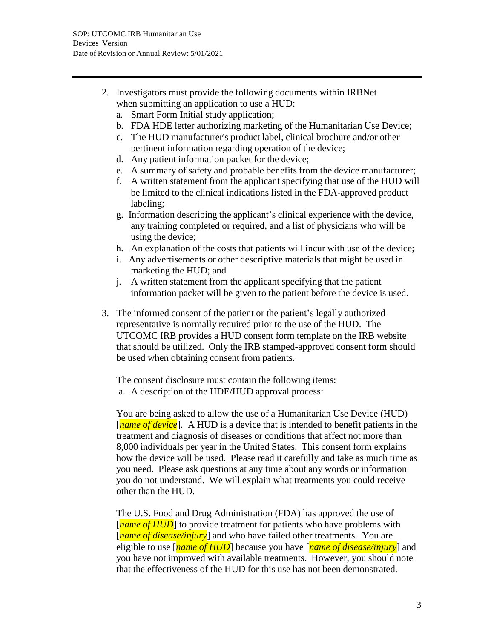- 2. Investigators must provide the following documents within IRBNet when submitting an application to use a HUD:
	- a. Smart Form Initial study application;
	- b. FDA HDE letter authorizing marketing of the Humanitarian Use Device;
	- c. The HUD manufacturer's product label, clinical brochure and/or other pertinent information regarding operation of the device;
	- d. Any patient information packet for the device;
	- e. A summary of safety and probable benefits from the device manufacturer;
	- f. A written statement from the applicant specifying that use of the HUD will be limited to the clinical indications listed in the FDA-approved product labeling;
	- g. Information describing the applicant's clinical experience with the device, any training completed or required, and a list of physicians who will be using the device;
	- h. An explanation of the costs that patients will incur with use of the device;
	- i. Any advertisements or other descriptive materials that might be used in marketing the HUD; and
	- j. A written statement from the applicant specifying that the patient information packet will be given to the patient before the device is used.
- 3. The informed consent of the patient or the patient's legally authorized representative is normally required prior to the use of the HUD. The UTCOMC IRB provides a HUD consent form template on the IRB website that should be utilized. Only the IRB stamped-approved consent form should be used when obtaining consent from patients.

The consent disclosure must contain the following items: a. A description of the HDE/HUD approval process:

You are being asked to allow the use of a Humanitarian Use Device (HUD) [*name of device*]. A HUD is a device that is intended to benefit patients in the treatment and diagnosis of diseases or conditions that affect not more than 8,000 individuals per year in the United States. This consent form explains how the device will be used. Please read it carefully and take as much time as you need. Please ask questions at any time about any words or information you do not understand. We will explain what treatments you could receive other than the HUD.

The U.S. Food and Drug Administration (FDA) has approved the use of [*name of HUD*] to provide treatment for patients who have problems with [*name of disease/injury*] and who have failed other treatments. You are eligible to use [*name of HUD*] because you have [*name of disease/injury*] and you have not improved with available treatments. However, you should note that the effectiveness of the HUD for this use has not been demonstrated.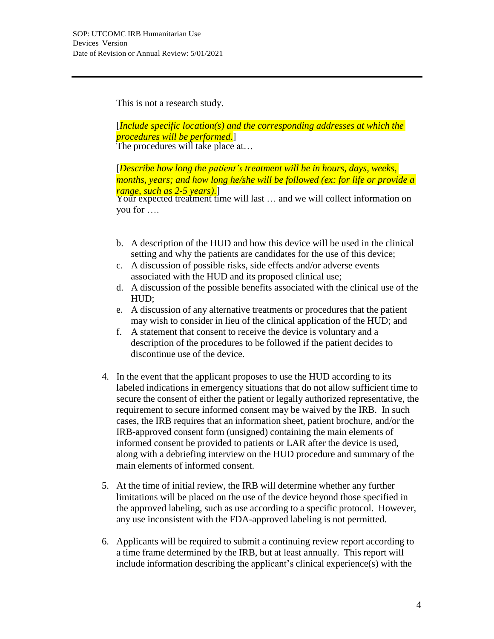This is not a research study.

The procedures will take place at... [*Include specific location(s) and the corresponding addresses at which the procedures will be performed.*]

[*Describe how long the patient's treatment will be in hours, days, weeks, months, years; and how long he/she will be followed (ex: for life or provide a range, such as 2-5 years).*]

Your expected treatment time will last ... and we will collect information on you for ….

- b. A description of the HUD and how this device will be used in the clinical setting and why the patients are candidates for the use of this device;
- c. A discussion of possible risks, side effects and/or adverse events associated with the HUD and its proposed clinical use;
- d. A discussion of the possible benefits associated with the clinical use of the HUD;
- e. A discussion of any alternative treatments or procedures that the patient may wish to consider in lieu of the clinical application of the HUD; and
- f. A statement that consent to receive the device is voluntary and a description of the procedures to be followed if the patient decides to discontinue use of the device.
- 4. In the event that the applicant proposes to use the HUD according to its labeled indications in emergency situations that do not allow sufficient time to secure the consent of either the patient or legally authorized representative, the requirement to secure informed consent may be waived by the IRB. In such cases, the IRB requires that an information sheet, patient brochure, and/or the IRB-approved consent form (unsigned) containing the main elements of informed consent be provided to patients or LAR after the device is used, along with a debriefing interview on the HUD procedure and summary of the main elements of informed consent.
- 5. At the time of initial review, the IRB will determine whether any further limitations will be placed on the use of the device beyond those specified in the approved labeling, such as use according to a specific protocol. However, any use inconsistent with the FDA-approved labeling is not permitted.
- 6. Applicants will be required to submit a continuing review report according to a time frame determined by the IRB, but at least annually. This report will include information describing the applicant's clinical experience(s) with the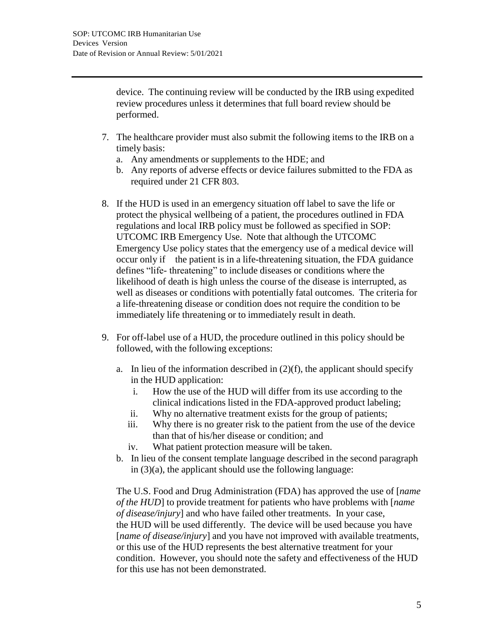device. The continuing review will be conducted by the IRB using expedited review procedures unless it determines that full board review should be performed.

- 7. The healthcare provider must also submit the following items to the IRB on a timely basis:
	- a. Any amendments or supplements to the HDE; and
	- b. Any reports of adverse effects or device failures submitted to the FDA as required under 21 CFR 803.
- 8. If the HUD is used in an emergency situation off label to save the life or protect the physical wellbeing of a patient, the procedures outlined in FDA regulations and local IRB policy must be followed as specified in SOP: UTCOMC IRB Emergency Use. Note that although the UTCOMC Emergency Use policy states that the emergency use of a medical device will occur only if the patient is in a life-threatening situation, the FDA guidance defines "life- threatening" to include diseases or conditions where the likelihood of death is high unless the course of the disease is interrupted, as well as diseases or conditions with potentially fatal outcomes. The criteria for a life-threatening disease or condition does not require the condition to be immediately life threatening or to immediately result in death.
- 9. For off-label use of a HUD, the procedure outlined in this policy should be followed, with the following exceptions:
	- a. In lieu of the information described in  $(2)(f)$ , the applicant should specify in the HUD application:
		- i. How the use of the HUD will differ from its use according to the clinical indications listed in the FDA-approved product labeling;
		- ii. Why no alternative treatment exists for the group of patients;
		- iii. Why there is no greater risk to the patient from the use of the device than that of his/her disease or condition; and
		- iv. What patient protection measure will be taken.
	- b. In lieu of the consent template language described in the second paragraph in  $(3)(a)$ , the applicant should use the following language:

The U.S. Food and Drug Administration (FDA) has approved the use of [*name of the HUD*] to provide treatment for patients who have problems with [*name of disease/injury*] and who have failed other treatments. In your case, the HUD will be used differently. The device will be used because you have [*name of disease/injury*] and you have not improved with available treatments, or this use of the HUD represents the best alternative treatment for your condition. However, you should note the safety and effectiveness of the HUD for this use has not been demonstrated.